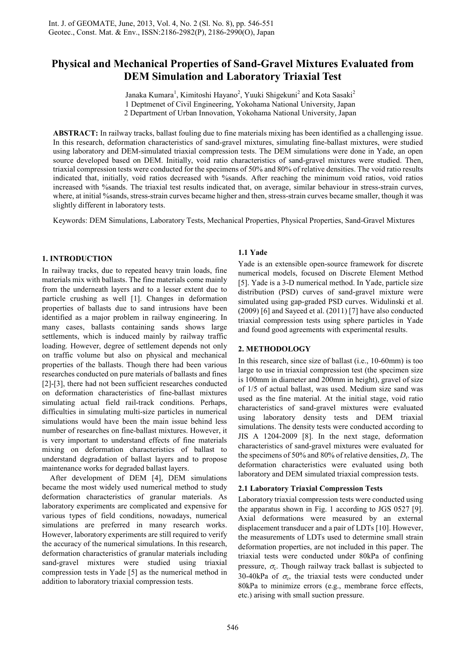# **Physical and Mechanical Properties of Sand-Gravel Mixtures Evaluated from DEM Simulation and Laboratory Triaxial Test**

Janaka Kumara<sup>1</sup>, Kimitoshi Hayano<sup>2</sup>, Yuuki Shigekuni<sup>2</sup> and Kota Sasaki<sup>2</sup> 1 Deptmenet of Civil Engineering, Yokohama National University, Japan 2 Department of Urban Innovation, Yokohama National University, Japan

**ABSTRACT:** In railway tracks, ballast fouling due to fine materials mixing has been identified as a challenging issue. In this research, deformation characteristics of sand-gravel mixtures, simulating fine-ballast mixtures, were studied using laboratory and DEM-simulated triaxial compression tests. The DEM simulations were done in Yade, an open source developed based on DEM. Initially, void ratio characteristics of sand-gravel mixtures were studied. Then, triaxial compression tests were conducted for the specimens of 50% and 80% of relative densities. The void ratio results indicated that, initially, void ratios decreased with %sands. After reaching the minimum void ratios, void ratios increased with %sands. The triaxial test results indicated that, on average, similar behaviour in stress-strain curves, where, at initial %sands, stress-strain curves became higher and then, stress-strain curves became smaller, though it was slightly different in laboratory tests.

Keywords: DEM Simulations, Laboratory Tests, Mechanical Properties, Physical Properties, Sand-Gravel Mixtures

# **1. INTRODUCTION**

In railway tracks, due to repeated heavy train loads, fine materials mix with ballasts. The fine materials come mainly from the underneath layers and to a lesser extent due to particle crushing as well [1]. Changes in deformation properties of ballasts due to sand intrusions have been identified as a major problem in railway engineering. In many cases, ballasts containing sands shows large settlements, which is induced mainly by railway traffic loading. However, degree of settlement depends not only on traffic volume but also on physical and mechanical properties of the ballasts. Though there had been various researches conducted on pure materials of ballasts and fines [2]-[3], there had not been sufficient researches conducted on deformation characteristics of fine-ballast mixtures simulating actual field rail-track conditions. Perhaps, difficulties in simulating multi-size particles in numerical simulations would have been the main issue behind less number of researches on fine-ballast mixtures. However, it is very important to understand effects of fine materials mixing on deformation characteristics of ballast to understand degradation of ballast layers and to propose maintenance works for degraded ballast layers.

 After development of DEM [4], DEM simulations became the most widely used numerical method to study deformation characteristics of granular materials. As laboratory experiments are complicated and expensive for various types of field conditions, nowadays, numerical simulations are preferred in many research works. However, laboratory experiments are still required to verify the accuracy of the numerical simulations. In this research, deformation characteristics of granular materials including sand-gravel mixtures were studied using triaxial compression tests in Yade [5] as the numerical method in addition to laboratory triaxial compression tests.

## **1.1 Yade**

Yade is an extensible open-source framework for discrete numerical models, focused on Discrete Element Method [5]. Yade is a 3-D numerical method. In Yade, particle size distribution (PSD) curves of sand-gravel mixture were simulated using gap-graded PSD curves. Widulinski et al. (2009) [6] and Sayeed et al. (2011) [7] have also conducted triaxial compression tests using sphere particles in Yade and found good agreements with experimental results.

# **2. METHODOLOGY**

In this research, since size of ballast (i.e., 10-60mm) is too large to use in triaxial compression test (the specimen size is 100mm in diameter and 200mm in height), gravel of size of 1/5 of actual ballast, was used. Medium size sand was used as the fine material. At the initial stage, void ratio characteristics of sand-gravel mixtures were evaluated using laboratory density tests and DEM triaxial simulations. The density tests were conducted according to JIS A 1204-2009 [8]. In the next stage, deformation characteristics of sand-gravel mixtures were evaluated for the specimens of 50% and 80% of relative densities, *D*<sup>r</sup> . The deformation characteristics were evaluated using both laboratory and DEM simulated triaxial compression tests.

## **2.1 Laboratory Triaxial Compression Tests**

Laboratory triaxial compression tests were conducted using the apparatus shown in Fig. 1 according to JGS 0527 [9]. Axial deformations were measured by an external displacement transducer and a pair of LDTs [10]. However, the measurements of LDTs used to determine small strain deformation properties, are not included in this paper. The triaxial tests were conducted under 80kPa of confining pressure,  $\sigma_{\rm c}$ . Though railway track ballast is subjected to 30-40kPa of  $\sigma_c$ , the triaxial tests were conducted under 80kPa to minimize errors (e.g., membrane force effects, etc.) arising with small suction pressure.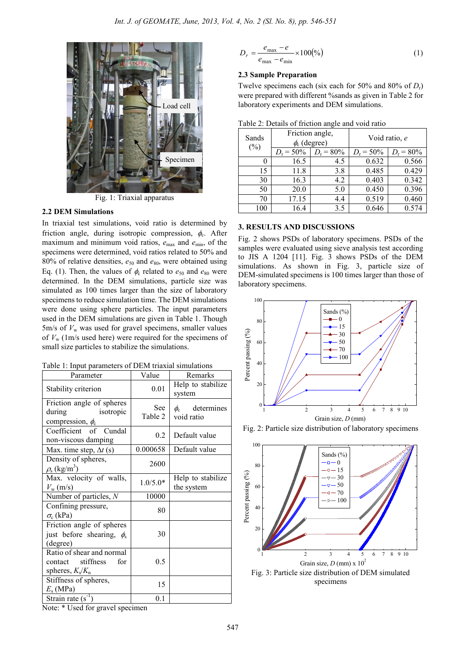

Fig. 1: Triaxial apparatus

#### **2.2 DEM Simulations**

In triaxial test simulations, void ratio is determined by friction angle, during isotropic compression,  $\phi_c$ . After maximum and minimum void ratios,  $e_{\text{max}}$  and  $e_{\text{min}}$ , of the specimens were determined, void ratios related to 50% and 80% of relative densities,  $e_{50}$  and  $e_{80}$ , were obtained using Eq. (1). Then, the values of  $\phi_c$  related to  $e_{50}$  and  $e_{80}$  were determined. In the DEM simulations, particle size was simulated as 100 times larger than the size of laboratory specimens to reduce simulation time. The DEM simulations were done using sphere particles. The input parameters used in the DEM simulations are given in Table 1. Though 5m/s of  $V_w$  was used for gravel specimens, smaller values of  $V_{\rm w}$  (1m/s used here) were required for the specimens of small size particles to stabilize the simulations.

Table 1: Input parameters of DEM triaxial simulations

| Parameter                                                                      | Value                 | Remarks                              |  |
|--------------------------------------------------------------------------------|-----------------------|--------------------------------------|--|
| Stability criterion                                                            | 0.01                  | Help to stabilize<br>system          |  |
| Friction angle of spheres<br>during<br>isotropic<br>compression, $\phi_c$      | <b>See</b><br>Table 2 | determines<br>$\phi_c$<br>void ratio |  |
| Coefficient of Cundal<br>non-viscous damping                                   | 0.2                   | Default value                        |  |
| Max. time step, $\Delta t$ (s)                                                 | 0.000658              | Default value                        |  |
| Density of spheres,<br>$\rho_{\rm s}$ (kg/m <sup>3</sup> )                     | 2600                  |                                      |  |
| Max. velocity of walls,<br>$V_{\rm w}$ (m/s)                                   | $1.0/5.0*$            | Help to stabilize<br>the system      |  |
| Number of particles, $N$                                                       | 10000                 |                                      |  |
| Confining pressure,<br>$\sigma_{\rm c}$ (kPa)                                  | 80                    |                                      |  |
| Friction angle of spheres<br>just before shearing, $\phi_s$<br>(degree)        | 30                    |                                      |  |
| Ratio of shear and normal<br>stiffness<br>for<br>contact<br>spheres, $K_s/K_n$ | 0.5                   |                                      |  |
| Stiffness of spheres,<br>$E_s$ (MPa)                                           | 15                    |                                      |  |
| Strain rate $(s^{-1})$                                                         | 0.1                   |                                      |  |

```
100 (\%)_{\text{max}} - e_{\text{min}}\frac{\max - e}{\max - e_{\min}} \times=\frac{e_{\text{max}}-e_{\text{max}}}{e_{\text{max}}-e_{\text{max}}}D_r = \frac{e_{\text{max}} - e}{2} (1)
```
#### **2.3 Sample Preparation**

Twelve specimens each (six each for 50% and 80% of *D*r) were prepared with different %sands as given in Table 2 for laboratory experiments and DEM simulations.

| Sands  | Friction angle,<br>$\phi_c$ (degree) |                   | Void ratio, e |                    |
|--------|--------------------------------------|-------------------|---------------|--------------------|
| $(\%)$ | $D_r = 50\%$                         | $D_{\rm r}$ = 80% | $D_r = 50\%$  | $D_{\rm r} = 80\%$ |
|        | 16.5                                 | 4.5               | 0.632         | 0.566              |
| 15     | 11.8                                 | 3.8               | 0.485         | 0.429              |
| 30     | 16.3                                 | 4.2               | 0.403         | 0.342              |
| 50     | 20.0                                 | 5.0               | 0.450         | 0.396              |
| 70     | 17.15                                | 4.4               | 0.519         | 0.460              |
| 100    | 16.4                                 | 3.5               | 0.646         | 0.574              |

# **3. RESULTS AND DISCUSSIONS**

Fig. 2 shows PSDs of laboratory specimens. PSDs of the samples were evaluated using sieve analysis test according to JIS A 1204 [11]. Fig. 3 shows PSDs of the DEM simulations. As shown in Fig. 3, particle size of DEM-simulated specimens is 100 times larger than those of laboratory specimens.







Note: \* Used for gravel specimen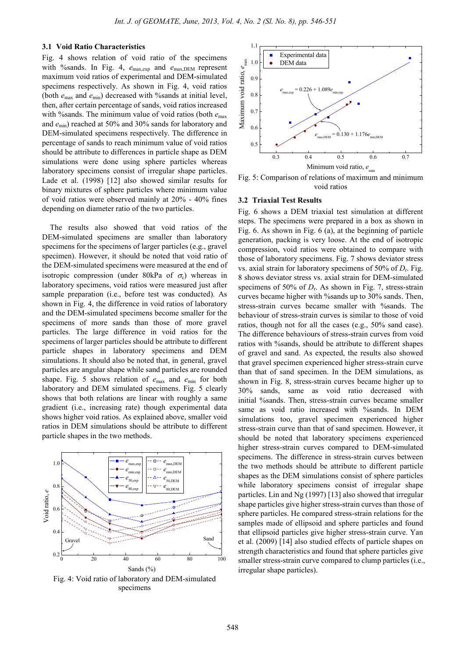#### **3.1 Void Ratio Characteristics**

Fig. 4 shows relation of void ratio of the specimens with %sands. In Fig. 4,  $e_{\text{max,exp}}$  and  $e_{\text{max,DEM}}$  represent maximum void ratios of experimental and DEM-simulated specimens respectively. As shown in Fig. 4, void ratios (both *e*max and *e*min) decreased with %sands at initial level, then, after certain percentage of sands, void ratios increased with %sands. The minimum value of void ratios (both *e*max and *e*min) reached at 50% and 30% sands for laboratory and DEM-simulated specimens respectively. The difference in percentage of sands to reach minimum value of void ratios should be attribute to differences in particle shape as DEM simulations were done using sphere particles whereas laboratory specimens consist of irregular shape particles. Lade et al. (1998) [12] also showed similar results for binary mixtures of sphere particles where minimum value of void ratios were observed mainly at 20% - 40% fines depending on diameter ratio of the two particles.

The results also showed that void ratios of the DEM-simulated specimens are smaller than laboratory specimens for the specimens of larger particles (e.g., gravel specimen). However, it should be noted that void ratio of the DEM-simulated specimens were measured at the end of isotropic compression (under 80kPa of  $\sigma_c$ ) whereas in laboratory specimens, void ratios were measured just after sample preparation (i.e., before test was conducted). As shown in Fig. 4, the difference in void ratios of laboratory and the DEM-simulated specimens become smaller for the specimens of more sands than those of more gravel particles. The large difference in void ratios for the specimens of larger particles should be attribute to different particle shapes in laboratory specimens and DEM simulations. It should also be noted that, in general, gravel particles are angular shape while sand particles are rounded shape. Fig. 5 shows relation of  $e_{\text{max}}$  and  $e_{\text{min}}$  for both laboratory and DEM simulated specimens. Fig. 5 clearly shows that both relations are linear with roughly a same gradient (i.e., increasing rate) though experimental data shows higher void ratios. As explained above, smaller void ratios in DEM simulations should be attribute to different particle shapes in the two methods.



Fig. 4: Void ratio of laboratory and DEM-simulated specimens



Fig. 5: Comparison of relations of maximum and minimum void ratios

#### **3.2 Triaxial Test Results**

Fig. 6 shows a DEM triaxial test simulation at different steps. The specimens were prepared in a box as shown in Fig. 6. As shown in Fig. 6 (a), at the beginning of particle generation, packing is very loose. At the end of isotropic compression, void ratios were obtained to compare with those of laboratory specimens. Fig. 7 shows deviator stress vs. axial strain for laboratory specimens of 50% of *D*<sup>r</sup> . Fig. 8 shows deviator stress vs. axial strain for DEM-simulated specimens of 50% of  $D_r$ . As shown in Fig. 7, stress-strain curves became higher with %sands up to 30% sands. Then, stress-strain curves became smaller with %sands. The behaviour of stress-strain curves is similar to those of void ratios, though not for all the cases (e.g., 50% sand case). The difference behaviours of stress-strain curves from void ratios with %sands, should be attribute to different shapes of gravel and sand. As expected, the results also showed that gravel specimen experienced higher stress-strain curve than that of sand specimen. In the DEM simulations, as shown in Fig. 8, stress-strain curves became higher up to 30% sands, same as void ratio decreased with initial %sands. Then, stress-strain curves became smaller same as void ratio increased with %sands. In DEM simulations too, gravel specimen experienced higher stress-strain curve than that of sand specimen. However, it should be noted that laboratory specimens experienced higher stress-strain curves compared to DEM-simulated specimens. The difference in stress-strain curves between the two methods should be attribute to different particle shapes as the DEM simulations consist of sphere particles while laboratory specimens consist of irregular shape particles. Lin and Ng (1997) [13] also showed that irregular shape particles give higher stress-strain curves than those of sphere particles. He compared stress-strain relations for the samples made of ellipsoid and sphere particles and found that ellipsoid particles give higher stress-strain curve. Yan et al. (2009) [14] also studied effects of particle shapes on strength characteristics and found that sphere particles give smaller stress-strain curve compared to clump particles (i.e., irregular shape particles).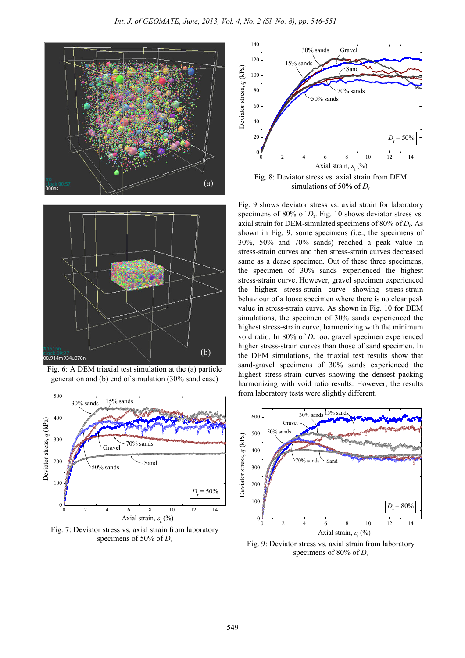







Fig. 7: Deviator stress vs. axial strain from laboratory specimens of 50% of *D*<sup>r</sup>



Fig. 8: Deviator stress vs. axial strain from DEM simulations of 50% of  $D_r$ 

Fig. 9 shows deviator stress vs. axial strain for laboratory specimens of 80% of  $D_r$ . Fig. 10 shows deviator stress vs. axial strain for DEM-simulated specimens of 80% of *D*<sup>r</sup> . As shown in Fig. 9, some specimens (i.e., the specimens of 30%, 50% and 70% sands) reached a peak value in stress-strain curves and then stress-strain curves decreased same as a dense specimen. Out of these three specimens, the specimen of 30% sands experienced the highest stress-strain curve. However, gravel specimen experienced the highest stress-strain curve showing stress-strain behaviour of a loose specimen where there is no clear peak value in stress-strain curve. As shown in Fig. 10 for DEM simulations, the specimen of 30% sands experienced the highest stress-strain curve, harmonizing with the minimum void ratio. In 80% of  $D_r$  too, gravel specimen experienced higher stress-strain curves than those of sand specimen. In the DEM simulations, the triaxial test results show that sand-gravel specimens of 30% sands experienced the highest stress-strain curves showing the densest packing harmonizing with void ratio results. However, the results from laboratory tests were slightly different.



Fig. 9: Deviator stress vs. axial strain from laboratory specimens of 80% of *D*r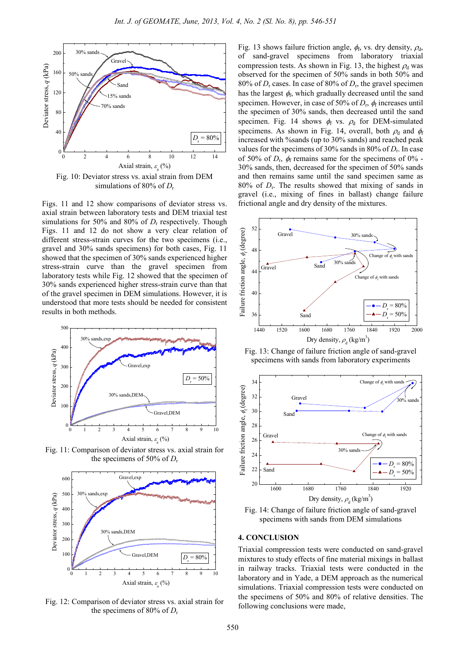

simulations of 80% of *D*<sub>r</sub>

Figs. 11 and 12 show comparisons of deviator stress vs. axial strain between laboratory tests and DEM triaxial test simulations for 50% and 80% of  $D_r$  respectively. Though Figs. 11 and 12 do not show a very clear relation of different stress-strain curves for the two specimens (i.e., gravel and 30% sands specimens) for both cases, Fig. 11 showed that the specimen of 30% sands experienced higher stress-strain curve than the gravel specimen from laboratory tests while Fig. 12 showed that the specimen of 30% sands experienced higher stress-strain curve than that of the gravel specimen in DEM simulations. However, it is understood that more tests should be needed for consistent results in both methods.



Fig. 11: Comparison of deviator stress vs. axial strain for the specimens of 50% of *D*<sup>r</sup>



Fig. 12: Comparison of deviator stress vs. axial strain for the specimens of 80% of *D*<sup>r</sup>

Fig. 13 shows failure friction angle,  $\phi_f$ , vs. dry density,  $\rho_d$ , of sand-gravel specimens from laboratory triaxial compression tests. As shown in Fig. 13, the highest  $\rho_d$  was observed for the specimen of 50% sands in both 50% and 80% of  $D_r$  cases. In case of 80% of  $D_r$ , the gravel specimen has the largest  $\phi_f$ , which gradually decreased until the sand specimen. However, in case of 50% of  $D_r$ ,  $\phi_f$  increases until the specimen of 30% sands, then decreased until the sand specimen. Fig. 14 shows  $\phi_f$  vs.  $\rho_d$  for DEM-simulated specimens. As shown in Fig. 14, overall, both  $\rho_d$  and  $\phi_f$ increased with %sands (up to 30% sands) and reached peak values for the specimens of 30% sands in 80% of  $D_r$ . In case of 50% of  $D_r$ ,  $\phi_f$  remains same for the specimens of 0% -30% sands, then, decreased for the specimen of 50% sands and then remains same until the sand specimen same as  $80\%$  of  $D_r$ . The results showed that mixing of sands in gravel (i.e., mixing of fines in ballast) change failure frictional angle and dry density of the mixtures.



Fig. 13: Change of failure friction angle of sand-gravel specimens with sands from laboratory experiments





# **4. CONCLUSION**

Triaxial compression tests were conducted on sand-gravel mixtures to study effects of fine material mixings in ballast in railway tracks. Triaxial tests were conducted in the laboratory and in Yade, a DEM approach as the numerical simulations. Triaxial compression tests were conducted on the specimens of 50% and 80% of relative densities. The following conclusions were made,